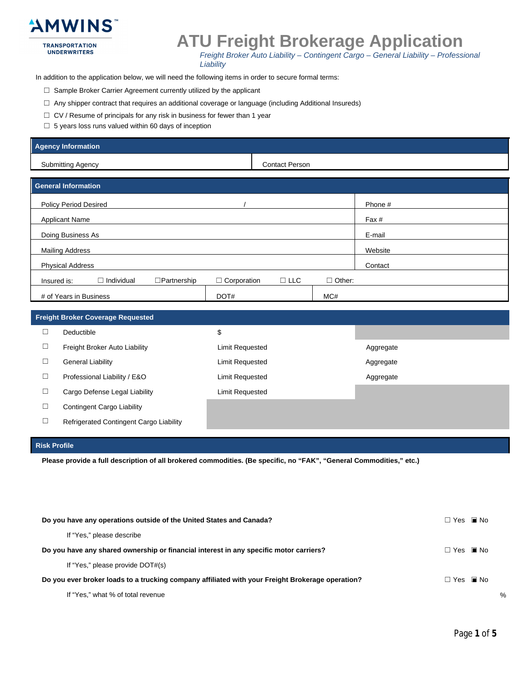

### **ATU Freight Brokerage Application**

Freight Broker Auto Liability - Contingent Cargo - General Liability - Professional Liability

In addition to the application below, we will need the following items in order to secure formal terms:

- □ Sample Broker Carrier Agreement currently utilized by the applicant
- □ Any shipper contract that requires an additional coverage or language (including Additional Insureds)
- $\Box$  CV / Resume of principals for any risk in business for fewer than 1 year
- $\Box$  5 years loss runs valued within 60 days of inception

#### **Agency Information**

**Submitting Agency** 

**Contact Person** 

| General Information                                    |                    |            |               |         |  |
|--------------------------------------------------------|--------------------|------------|---------------|---------|--|
| <b>Policy Period Desired</b>                           |                    |            |               | Phone # |  |
| <b>Applicant Name</b>                                  |                    |            |               | Fax #   |  |
| Doing Business As                                      |                    |            |               | E-mail  |  |
| <b>Mailing Address</b>                                 |                    |            |               | Website |  |
| <b>Physical Address</b>                                |                    |            |               | Contact |  |
| $\Box$ Individual<br>$\Box$ Partnership<br>Insured is: | $\Box$ Corporation | $\Box$ LLC | $\Box$ Other: |         |  |
| # of Years in Business                                 | DOT#               |            | MC#           |         |  |

| <b>Freight Broker Coverage Requested</b> |                                         |                 |           |  |  |  |
|------------------------------------------|-----------------------------------------|-----------------|-----------|--|--|--|
| $\overline{\phantom{a}}$                 | Deductible                              | \$              |           |  |  |  |
| ⊔                                        | Freight Broker Auto Liability           | Limit Requested | Aggregate |  |  |  |
| $\overline{\phantom{a}}$                 | <b>General Liability</b>                | Limit Requested | Aggregate |  |  |  |
| ⊔                                        | Professional Liability / E&O            | Limit Requested | Aggregate |  |  |  |
| ⊔                                        | Cargo Defense Legal Liability           | Limit Requested |           |  |  |  |
| $\overline{\phantom{a}}$                 | <b>Contingent Cargo Liability</b>       |                 |           |  |  |  |
|                                          | Refrigerated Contingent Cargo Liability |                 |           |  |  |  |

#### **Risk Profile**

Please provide a full description of all brokered commodities. (Be specific, no "FAK", "General Commodities," etc.)

| Do you have any operations outside of the United States and Canada?                              | Π Yes ■ No           |  |
|--------------------------------------------------------------------------------------------------|----------------------|--|
| If "Yes," please describe                                                                        |                      |  |
| Do you have any shared ownership or financial interest in any specific motor carriers?           | $\Box$ Yes $\Box$ No |  |
| If "Yes," please provide DOT#(s)                                                                 |                      |  |
| Do you ever broker loads to a trucking company affiliated with your Freight Brokerage operation? | Π Yes ■ No           |  |
| If "Yes," what % of total revenue                                                                |                      |  |

 $\%$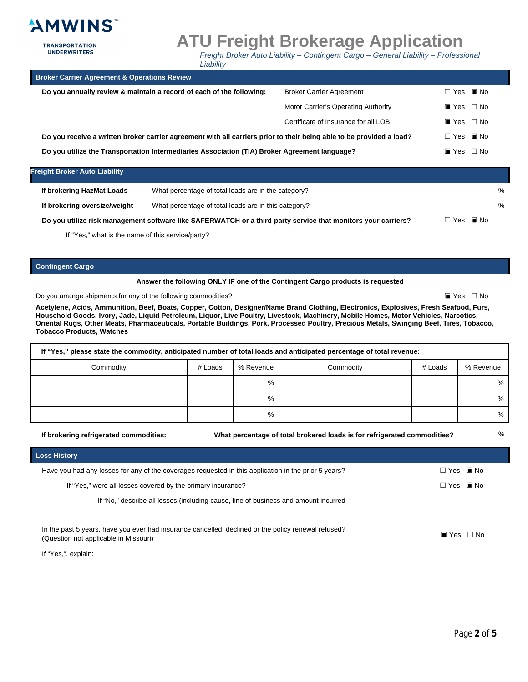

**UNDERWRITERS** 

**ATU Freight Brokerage Application** 

Freight Broker Auto Liability - Contingent Cargo - General Liability - Professional

| <b>Broker Carrier Agreement &amp; Operations Review</b>                                                              |                                      |                              |                              |
|----------------------------------------------------------------------------------------------------------------------|--------------------------------------|------------------------------|------------------------------|
| Do you annually review & maintain a record of each of the following:                                                 | <b>Broker Carrier Agreement</b>      | $\Box$ Yes $\Box$ No         |                              |
|                                                                                                                      | Motor Carrier's Operating Authority  | $\blacksquare$ Yes $\Box$ No |                              |
|                                                                                                                      | Certificate of Insurance for all LOB | $\blacksquare$ Yes $\Box$ No |                              |
| Do you receive a written broker carrier agreement with all carriers prior to their being able to be provided a load? |                                      |                              | $\Box$ Yes $\Box$ No         |
| Do you utilize the Transportation Intermediaries Association (TIA) Broker Agreement language?                        |                                      |                              | $\blacksquare$ Yes $\Box$ No |
|                                                                                                                      |                                      |                              |                              |

Liability

| <b>Freight Broker Auto Liability</b> |                                                                                                               |                      |   |
|--------------------------------------|---------------------------------------------------------------------------------------------------------------|----------------------|---|
| If brokering HazMat Loads            | What percentage of total loads are in the category?                                                           |                      | % |
| If brokering oversize/weight         | What percentage of total loads are in this category?                                                          |                      | % |
|                                      | Do you utilize risk management software like SAFERWATCH or a third-party service that monitors your carriers? | $\Box$ Yes $\Box$ No |   |

If "Yes," what is the name of this service/party?

**Contingent Cargo** 

#### Answer the following ONLY IF one of the Contingent Cargo products is requested

Do you arrange shipments for any of the following commodities?

 $\blacksquare$  Yes  $\Box$  No

 $\frac{0}{6}$ 

Acetylene, Acids, Ammunition, Beef, Boats, Copper, Cotton, Designer/Name Brand Clothing, Electronics, Explosives, Fresh Seafood, Furs, Household Goods, Ivory, Jade, Liquid Petroleum, Liquor, Live Poultry, Livestock, Machinery, Mobile Homes, Motor Vehicles, Narcotics, Oriental Rugs, Other Meats, Pharmaceuticals, Portable Buildings, Pork, Processed Poultry, Precious Metals, Swinging Beef, Tires, Tobacco, **Tobacco Products, Watches** 

| If "Yes," please state the commodity, anticipated number of total loads and anticipated percentage of total revenue: |         |           |           |         |           |  |
|----------------------------------------------------------------------------------------------------------------------|---------|-----------|-----------|---------|-----------|--|
| Commodity                                                                                                            | # Loads | % Revenue | Commodity | # Loads | % Revenue |  |
|                                                                                                                      |         | %         |           |         | $\%$      |  |
|                                                                                                                      |         | %         |           |         | $\%$      |  |
|                                                                                                                      |         | %         |           |         | %         |  |

If brokering refrigerated commodities:

What percentage of total brokered loads is for refrigerated commodities?

**Loss History** Have you had any losses for any of the coverages requested in this application in the prior 5 years?  $\Box$  Yes  $\Box$  No If "Yes," were all losses covered by the primary insurance?  $\Box$  Yes  $\Box$  No If "No," describe all losses (including cause, line of business and amount incurred In the past 5 years, have you ever had insurance cancelled, declined or the policy renewal refused?  $\blacksquare$  Yes  $\Box$  No (Question not applicable in Missouri)

If "Yes,", explain: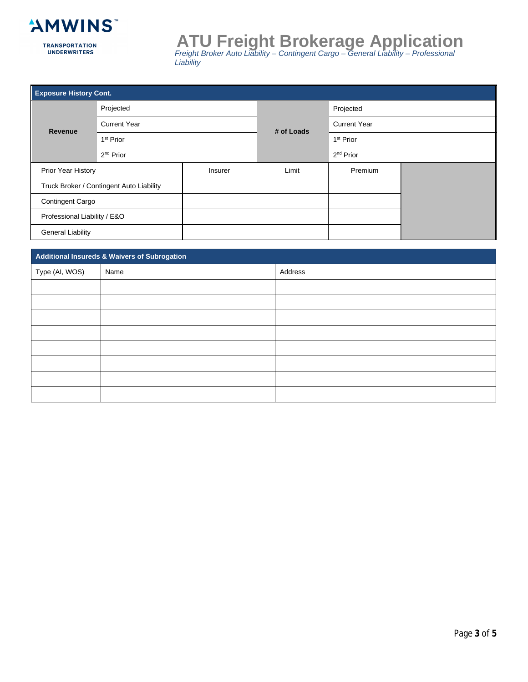

# **ATU Freight Brokerage Application**<br>Freight Broker Auto Liability - Contingent Cargo - General Liability - Professional<br>Liability

| <b>Exposure History Cont.</b>            |                       |       |            |                       |  |  |
|------------------------------------------|-----------------------|-------|------------|-----------------------|--|--|
| Projected                                |                       |       |            | Projected             |  |  |
| <b>Current Year</b><br>Revenue           |                       |       | # of Loads | <b>Current Year</b>   |  |  |
|                                          | 1 <sup>st</sup> Prior |       |            | 1 <sup>st</sup> Prior |  |  |
| $2nd$ Prior                              |                       |       |            | 2 <sup>nd</sup> Prior |  |  |
| Prior Year History<br>Insurer            |                       | Limit | Premium    |                       |  |  |
| Truck Broker / Contingent Auto Liability |                       |       |            |                       |  |  |
| <b>Contingent Cargo</b>                  |                       |       |            |                       |  |  |
| Professional Liability / E&O             |                       |       |            |                       |  |  |
| <b>General Liability</b>                 |                       |       |            |                       |  |  |

| Additional Insureds & Waivers of Subrogation |      |         |  |  |
|----------------------------------------------|------|---------|--|--|
| Type (AI, WOS)                               | Name | Address |  |  |
|                                              |      |         |  |  |
|                                              |      |         |  |  |
|                                              |      |         |  |  |
|                                              |      |         |  |  |
|                                              |      |         |  |  |
|                                              |      |         |  |  |
|                                              |      |         |  |  |
|                                              |      |         |  |  |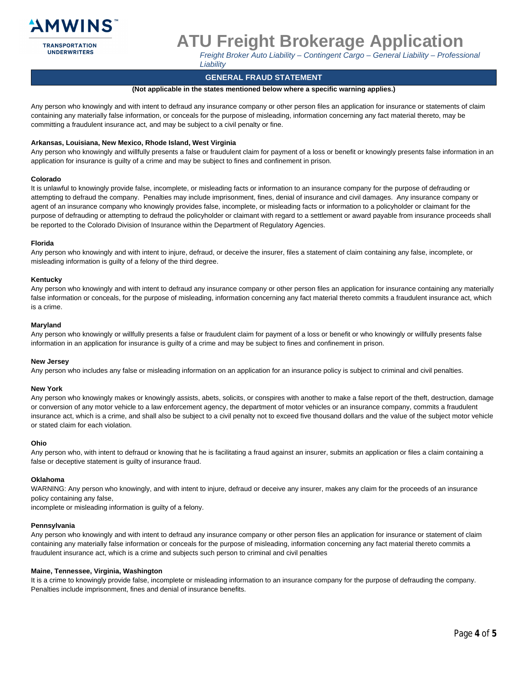

**UNDERWRITERS** 

## **ATU Freight Brokerage Application**

Freight Broker Auto Liability - Contingent Cargo - General Liability - Professional Liability

#### **GENERAL FRAUD STATEMENT**

#### (Not applicable in the states mentioned below where a specific warning applies.)

Any person who knowingly and with intent to defraud any insurance company or other person files an application for insurance or statements of claim containing any materially false information, or conceals for the purpose of misleading, information concerning any fact material thereto, may be committing a fraudulent insurance act, and may be subject to a civil penalty or fine.

#### Arkansas, Louisiana, New Mexico, Rhode Island, West Virginia

Any person who knowingly and willfully presents a false or fraudulent claim for payment of a loss or benefit or knowingly presents false information in an application for insurance is guilty of a crime and may be subject to fines and confinement in prison.

#### Colorado

It is unlawful to knowingly provide false, incomplete, or misleading facts or information to an insurance company for the purpose of defrauding or attempting to defraud the company. Penalties may include imprisonment, fines, denial of insurance and civil damages. Any insurance company or agent of an insurance company who knowingly provides false, incomplete, or misleading facts or information to a policyholder or claimant for the purpose of defrauding or attempting to defraud the policyholder or claimant with regard to a settlement or award payable from insurance proceeds shall be reported to the Colorado Division of Insurance within the Department of Regulatory Agencies.

#### Florida

Any person who knowingly and with intent to injure, defraud, or deceive the insurer, files a statement of claim containing any false, incomplete, or misleading information is guilty of a felony of the third degree.

#### Kentucky

Any person who knowingly and with intent to defraud any insurance company or other person files an application for insurance containing any materially false information or conceals, for the purpose of misleading, information concerning any fact material thereto commits a fraudulent insurance act, which is a crime.

#### Maryland

Any person who knowingly or willfully presents a false or fraudulent claim for payment of a loss or benefit or who knowingly or willfully presents false information in an application for insurance is quilty of a crime and may be subject to fines and confinement in prison.

#### **New Jersey**

Any person who includes any false or misleading information on an application for an insurance policy is subject to criminal and civil penalties.

#### **New York**

Any person who knowingly makes or knowingly assists, abets, solicits, or conspires with another to make a false report of the theft, destruction, damage or conversion of any motor vehicle to a law enforcement agency, the department of motor vehicles or an insurance company, commits a fraudulent insurance act, which is a crime, and shall also be subject to a civil penalty not to exceed five thousand dollars and the value of the subject motor vehicle or stated claim for each violation.

#### Ohio

Any person who, with intent to defraud or knowing that he is facilitating a fraud against an insurer, submits an application or files a claim containing a false or deceptive statement is guilty of insurance fraud.

#### Oklahoma

WARNING: Any person who knowingly, and with intent to injure, defraud or deceive any insurer, makes any claim for the proceeds of an insurance policy containing any false,

incomplete or misleading information is guilty of a felony.

#### Pennsylvania

Any person who knowingly and with intent to defraud any insurance company or other person files an application for insurance or statement of claim containing any materially false information or conceals for the purpose of misleading, information concerning any fact material thereto commits a fraudulent insurance act, which is a crime and subjects such person to criminal and civil penalties

#### Maine, Tennessee, Virginia, Washington

It is a crime to knowingly provide false, incomplete or misleading information to an insurance company for the purpose of defrauding the company. Penalties include imprisonment, fines and denial of insurance benefits.